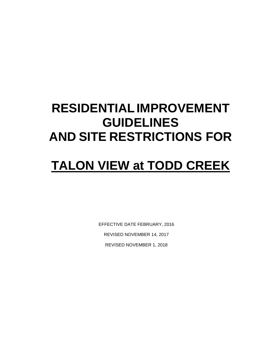# **RESIDENTIALIMPROVEMENT GUIDELINES AND SITE RESTRICTIONS FOR**

# **TALON VIEW at TODD CREEK**

EFFECTIVE DATE FEBRUARY, 2016 REVISED NOVEMBER 14, 2017 REVISED NOVEMBER 1, 2018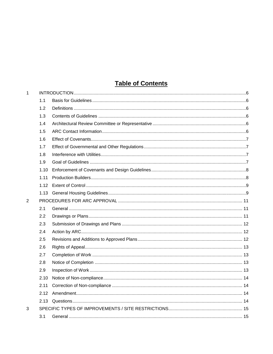# **Table of Contents**

| $\mathbf{1}$   |      |  |
|----------------|------|--|
|                | 1.1  |  |
|                | 1.2  |  |
|                | 1.3  |  |
|                | 1.4  |  |
|                | 1.5  |  |
|                | 1.6  |  |
|                | 1.7  |  |
|                | 1.8  |  |
|                | 1.9  |  |
|                | 1.10 |  |
|                | 1.11 |  |
|                | 1.12 |  |
|                | 1.13 |  |
| $\overline{2}$ |      |  |
|                | 2.1  |  |
|                | 2.2  |  |
|                | 2.3  |  |
|                | 2.4  |  |
|                | 2.5  |  |
|                | 2.6  |  |
|                | 2.7  |  |
|                | 2.8  |  |
|                | 2.9  |  |
|                | 2.10 |  |
|                | 2.11 |  |
|                | 2.12 |  |
|                | 2.13 |  |
| 3              |      |  |
|                | 3.1  |  |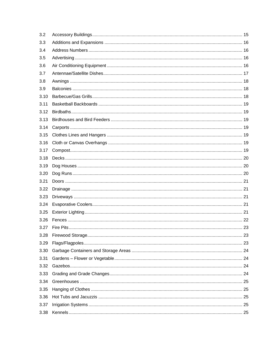| 3.2  |  |
|------|--|
| 3.3  |  |
| 3.4  |  |
| 3.5  |  |
| 3.6  |  |
| 3.7  |  |
| 3.8  |  |
| 3.9  |  |
| 3.10 |  |
| 3.11 |  |
| 3.12 |  |
| 3.13 |  |
| 3.14 |  |
| 3.15 |  |
| 3.16 |  |
| 3.17 |  |
| 3.18 |  |
| 3.19 |  |
| 3.20 |  |
| 3.21 |  |
| 3.22 |  |
| 3.23 |  |
| 3.24 |  |
| 3.25 |  |
| 3.26 |  |
| 3.27 |  |
| 3.28 |  |
| 3.29 |  |
| 3.30 |  |
| 3.31 |  |
| 3.32 |  |
| 3.33 |  |
| 3.34 |  |
| 3.35 |  |
| 3.36 |  |
| 3.37 |  |
| 3.38 |  |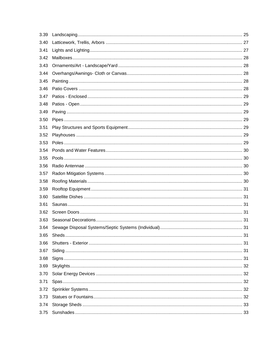| 3.39 |  |
|------|--|
| 3.40 |  |
| 3.41 |  |
| 3.42 |  |
| 3.43 |  |
| 3.44 |  |
| 3.45 |  |
| 3.46 |  |
| 3.47 |  |
| 3.48 |  |
| 3.49 |  |
| 3.50 |  |
| 3.51 |  |
| 3.52 |  |
| 3.53 |  |
| 3.54 |  |
| 3.55 |  |
| 3.56 |  |
| 3.57 |  |
| 3.58 |  |
| 3.59 |  |
| 3.60 |  |
| 3.61 |  |
| 3.62 |  |
| 3.63 |  |
| 3.64 |  |
| 3.65 |  |
| 3.66 |  |
| 3.67 |  |
| 3.68 |  |
| 3.69 |  |
| 3.70 |  |
| 3.71 |  |
| 3.72 |  |
| 3.73 |  |
| 3.74 |  |
| 3.75 |  |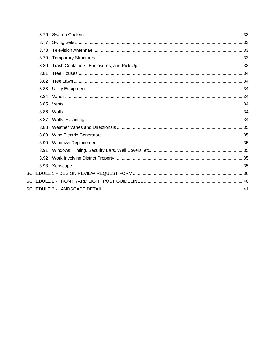| 3.76 |  |
|------|--|
| 3.77 |  |
| 3.78 |  |
| 3.79 |  |
| 3.80 |  |
| 3.81 |  |
| 3.82 |  |
| 3.83 |  |
| 3.84 |  |
| 3.85 |  |
| 3.86 |  |
| 3.87 |  |
| 3.88 |  |
| 3.89 |  |
| 3.90 |  |
| 3.91 |  |
| 3.92 |  |
| 3.93 |  |
|      |  |
|      |  |
|      |  |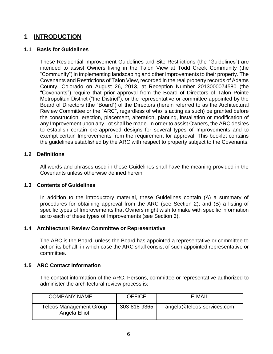## <span id="page-5-0"></span>**1 INTRODUCTION**

## <span id="page-5-1"></span>**1.1 Basis for Guidelines**

These Residential Improvement Guidelines and Site Restrictions (the "Guidelines") are intended to assist Owners living in the Talon View at Todd Creek Community (the "Community") in implementing landscaping and other Improvements to their property. The Covenants and Restrictions of Talon View, recorded in the real property records of Adams County, Colorado on August 26, 2013, at Reception Number 2013000074580 (the "Covenants") require that prior approval from the Board of Directors of Talon Pointe Metropolitan District ("the District"), or the representative or committee appointed by the Board of Directors (the "Board") of the Directors (herein referred to as the Architectural Review Committee or the "ARC", regardless of who is acting as such) be granted before the construction, erection, placement, alteration, planting, installation or modification of any Improvement upon any Lot shall be made. In order to assist Owners, the ARC desires to establish certain pre-approved designs for several types of Improvements and to exempt certain Improvements from the requirement for approval. This booklet contains the guidelines established by the ARC with respect to property subject to the Covenants.

## <span id="page-5-2"></span>**1.2 Definitions**

All words and phrases used in these Guidelines shall have the meaning provided in the Covenants unless otherwise defined herein.

## <span id="page-5-3"></span>**1.3 Contents of Guidelines**

In addition to the introductory material, these Guidelines contain (A) a summary of procedures for obtaining approval from the ARC (see Section 2); and (B) a listing of specific types of Improvements that Owners might wish to make with specific information as to each of these types of Improvements (see Section 3).

## <span id="page-5-4"></span>**1.4 Architectural Review Committee or Representative**

The ARC is the Board, unless the Board has appointed a representative or committee to act on its behalf, in which case the ARC shall consist of such appointed representative or committee.

## <span id="page-5-5"></span>**1.5 ARC Contact Information**

The contact information of the ARC, Persons, committee or representative authorized to administer the architectural review process is:

| <b>COMPANY NAME</b>                      | <b>OFFICE</b> | E-MAIL                     |
|------------------------------------------|---------------|----------------------------|
| Teleos Management Group<br>Angela Elliot | 303-818-9365  | angela@teleos-services.com |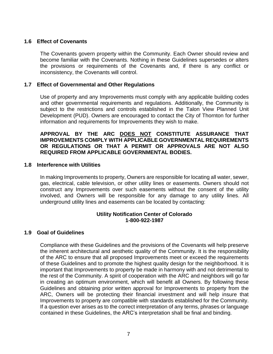## <span id="page-6-0"></span>**1.6 Effect of Covenants**

The Covenants govern property within the Community. Each Owner should review and become familiar with the Covenants. Nothing in these Guidelines supersedes or alters the provisions or requirements of the Covenants and, if there is any conflict or inconsistency, the Covenants will control.

## <span id="page-6-1"></span>**1.7 Effect of Governmental and Other Regulations**

Use of property and any Improvements must comply with any applicable building codes and other governmental requirements and regulations. Additionally, the Community is subject to the restrictions and controls established in the Talon View Planned Unit Development (PUD). Owners are encouraged to contact the City of Thornton for further information and requirements for Improvements they wish to make.

## **APPROVAL BY THE ARC DOES NOT CONSTITUTE ASSURANCE THAT IMPROVEMENTS COMPLY WITH APPLICABLE GOVERNMENTAL REQUIREMENTS OR REGULATIONS OR THAT A PERMIT OR APPROVALS ARE NOT ALSO REQUIRED FROM APPLICABLE GOVERNMENTAL BODIES.**

## <span id="page-6-2"></span>**1.8 Interference with Utilities**

In making Improvements to property, Owners are responsible for locating all water, sewer, gas, electrical, cable television, or other utility lines or easements. Owners should not construct any Improvements over such easements without the consent of the utility involved, and Owners will be responsible for any damage to any utility lines. All underground utility lines and easements can be located by contacting:

## **Utility Notification Center of Colorado 1-800-922-1987**

## <span id="page-6-3"></span>**1.9 Goal of Guidelines**

Compliance with these Guidelines and the provisions of the Covenants will help preserve the inherent architectural and aesthetic quality of the Community. It is the responsibility of the ARC to ensure that all proposed Improvements meet or exceed the requirements of these Guidelines and to promote the highest quality design for the neighborhood. It is important that Improvements to property be made in harmony with and not detrimental to the rest of the Community. A spirit of cooperation with the ARC and neighbors will go far in creating an optimum environment, which will benefit all Owners. By following these Guidelines and obtaining prior written approval for Improvements to property from the ARC, Owners will be protecting their financial investment and will help insure that Improvements to property are compatible with standards established for the Community. If a question ever arises as to the correct interpretation of any terms, phrases or language contained in these Guidelines, the ARC's interpretation shall be final and binding.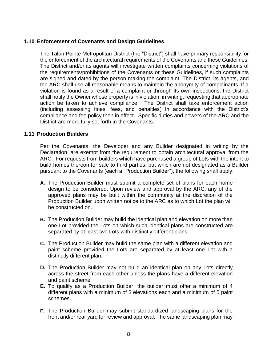## <span id="page-7-0"></span>**1.10 Enforcement of Covenants and Design Guidelines**

The Talon Pointe Metropolitan District (the "District") shall have primary responsibility for the enforcement of the architectural requirements of the Covenants and these Guidelines. The District and/or its agents will investigate written complaints concerning violations of the requirements/prohibitions of the Covenants or these Guidelines, if such complaints are signed and dated by the person making the complaint. The District, its agents, and the ARC shall use all reasonable means to maintain the anonymity of complainants. If a violation is found as a result of a complaint or through its own inspections, the District shall notify the Owner whose property is in violation, in writing, requesting that appropriate action be taken to achieve compliance. The District shall take enforcement action (including assessing fines, fees, and penalties) in accordance with the District's compliance and fee policy then in effect. Specific duties and powers of the ARC and the District are more fully set forth in the Covenants.

## <span id="page-7-1"></span>**1.11 Production Builders**

Per the Covenants, the Developer and any Builder designated in writing by the Declaration, are exempt from the requirement to obtain architectural approval from the ARC. For requests from builders which have purchased a group of Lots with the intent to build homes thereon for sale to third parties, but which are not designated as a Builder pursuant to the Covenants (each a "Production Builder"), the following shall apply.

- **A.** The Production Builder must submit a complete set of plans for each home design to be considered. Upon review and approval by the ARC, any of the approved plans may be built within the community at the discretion of the Production Builder upon written notice to the ARC as to which Lot the plan will be constructed on.
- **B.** The Production Builder may build the identical plan and elevation on more than one Lot provided the Lots on which such identical plans are constructed are separated by at least two Lots with distinctly different plans.
- **C.** The Production Builder may build the same plan with a different elevation and paint scheme provided the Lots are separated by at least one Lot with a distinctly different plan.
- **D.** The Production Builder may not build an identical plan on any Lots directly across the street from each other unless the plans have a different elevation and paint scheme.
- **E.** To qualify as a Production Builder, the builder must offer a minimum of 4 different plans with a minimum of 3 elevations each and a minimum of 5 paint schemes.
- **F.** The Production Builder may submit standardized landscaping plans for the front and/or rear yard for review and approval. The same landscaping plan may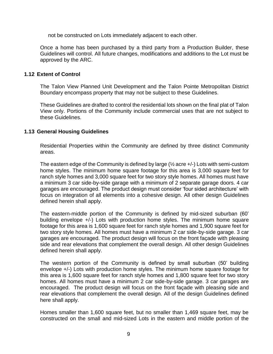not be constructed on Lots immediately adjacent to each other.

Once a home has been purchased by a third party from a Production Builder, these Guidelines will control. All future changes, modifications and additions to the Lot must be approved by the ARC.

## <span id="page-8-0"></span>**1.12 Extent of Control**

The Talon View Planned Unit Development and the Talon Pointe Metropolitan District Boundary encompass property that may not be subject to these Guidelines.

These Guidelines are drafted to control the residential lots shown on the final plat of Talon View only. Portions of the Community include commercial uses that are not subject to these Guidelines.

## <span id="page-8-1"></span>**1.13 General Housing Guidelines**

Residential Properties within the Community are defined by three distinct Community areas.

The eastern edge of the Community is defined by large  $(\frac{1}{2})$  acre  $+/-$ ) Lots with semi-custom home styles. The minimum home square footage for this area is 3,000 square feet for ranch style homes and 3,000 square feet for two story style homes. All homes must have a minimum 3 car side-by-side garage with a minimum of 2 separate garage doors. 4 car garages are encouraged. The product design must consider 'four sided architecture' with focus on integration of all elements into a cohesive design. All other design Guidelines defined herein shall apply.

The eastern-middle portion of the Community is defined by mid-sized suburban (60' building envelope +/-) Lots with production home styles. The minimum home square footage for this area is 1,600 square feet for ranch style homes and 1,900 square feet for two story style homes. All homes must have a minimum 2 car side-by-side garage. 3 car garages are encouraged. The product design will focus on the front façade with pleasing side and rear elevations that complement the overall design. All other design Guidelines defined herein shall apply.

The western portion of the Community is defined by small suburban (50' building envelope +/-) Lots with production home styles. The minimum home square footage for this area is 1,600 square feet for ranch style homes and 1,800 square feet for two story homes. All homes must have a minimum 2 car side-by-side garage. 3 car garages are encouraged. The product design will focus on the front façade with pleasing side and rear elevations that complement the overall design. All of the design Guidelines defined here shall apply.

Homes smaller than 1,600 square feet, but no smaller than 1,469 square feet, may be constructed on the small and mid-sized Lots in the eastern and middle portion of the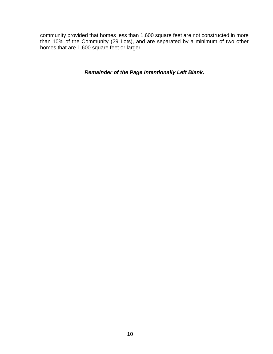community provided that homes less than 1,600 square feet are not constructed in more than 10% of the Community (29 Lots), and are separated by a minimum of two other homes that are 1,600 square feet or larger.

## *Remainder of the Page Intentionally Left Blank.*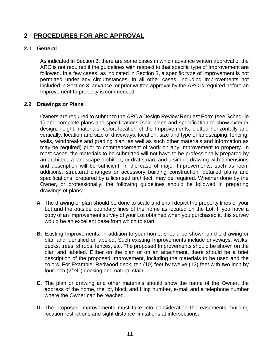# <span id="page-10-0"></span>**2 PROCEDURES FOR ARC APPROVAL**

## <span id="page-10-1"></span>**2.1 General**

As indicated in Section 3, there are some cases in which advance written approval of the ARC is not required if the guidelines with respect to that specific type of Improvement are followed. In a few cases, as indicated in Section 3, a specific type of Improvement is not permitted under any circumstances. In all other cases, including Improvements not included in Section 3, advance, or prior written approval by the ARC is required before an Improvement to property is commenced.

## <span id="page-10-2"></span>**2.2 Drawings or Plans**

Owners are required to submit to the ARC a Design Review Request Form (see Schedule 1) and complete plans and specifications (said plans and specification to show exterior design, height, materials, color, location of the Improvements, plotted horizontally and vertically, location and size of driveways, location, size and type of landscaping, fencing, walls, windbreaks and grading plan, as well as such other materials and information as may be required) prior to commencement of work on any Improvement to property. In most cases, the materials to be submitted will not have to be professionally prepared by an architect, a landscape architect, or draftsman, and a simple drawing with dimensions and description will be sufficient. In the case of major Improvements, such as room additions, structural changes or accessory building construction, detailed plans and specifications, prepared by a licensed architect, may be required. Whether done by the Owner, or professionally, the following guidelines should be followed in preparing drawings of plans:

- **A.** The drawing or plan should be done to scale and shall depict the property lines of your Lot and the outside boundary lines of the home as located on the Lot. If you have a copy of an Improvement survey of your Lot obtained when you purchased it, this survey would be an excellent base from which to start.
- **B.** Existing Improvements, in addition to your home, should be shown on the drawing or plan and identified or labeled. Such existing Improvements include driveways, walks, decks, trees, shrubs, fences, etc. The proposed Improvements should be shown on the plan and labeled. Either on the plan or on an attachment, there should be a brief description of the proposed Improvement, including the materials to be used and the colors. For Example: Redwood deck, ten (10) feet by twelve (12) feet with two inch by four inch (2"x4") decking and natural stain.
- **C.** The plan or drawing and other materials should show the name of the Owner, the address of the home, the lot, block and filing number, e-mail and a telephone number where the Owner can be reached.
- **D.** The proposed Improvements must take into consideration the easements, building location restrictions and sight distance limitations at intersections.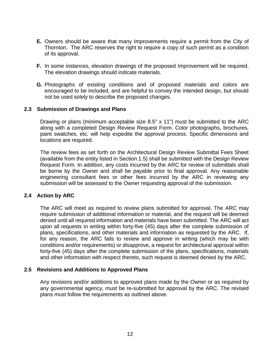- **E.** Owners should be aware that many Improvements require a permit from the City of Thornton. The ARC reserves the right to require a copy of such permit as a condition of its approval.
- **F.** In some instances, elevation drawings of the proposed Improvement will be required. The elevation drawings should indicate materials.
- **G.** Photographs of existing conditions and of proposed materials and colors are encouraged to be included, and are helpful to convey the intended design, but should not be used solely to describe the proposed changes.

## <span id="page-11-0"></span>**2.3 Submission of Drawings and Plans**

Drawing or plans (minimum acceptable size 8.5" x 11") must be submitted to the ARC along with a completed Design Review Request Form. Color photographs, brochures, paint swatches, etc. will help expedite the approval process. Specific dimensions and locations are required.

The review fees as set forth on the Architectural Design Review Submittal Fees Sheet (available from the entity listed in Section 1.5) shall be submitted with the Design Review Request Form. In addition, any costs incurred by the ARC for review of submittals shall be borne by the Owner and shall be payable prior to final approval. Any reasonable engineering consultant fees or other fees incurred by the ARC in reviewing any submission will be assessed to the Owner requesting approval of the submission.

#### <span id="page-11-1"></span>**2.4 Action by ARC**

The ARC will meet as required to review plans submitted for approval. The ARC may require submission of additional information or material, and the request will be deemed denied until all required information and materials have been submitted. The ARC will act upon all requests in writing within forty-five (45) days after the complete submission of plans, specifications, and other materials and information as requested by the ARC. If, for any reason, the ARC fails to review and approve in writing (which may be with conditions and/or requirements) or disapprove, a request for architectural approval within forty-five (45) days after the complete submission of the plans, specifications, materials and other information with respect thereto, such request is deemed denied by the ARC.

#### <span id="page-11-2"></span>**2.5 Revisions and Additions to Approved Plans**

Any revisions and/or additions to approved plans made by the Owner or as required by any governmental agency, must be re-submitted for approval by the ARC. The revised plans must follow the requirements as outlined above.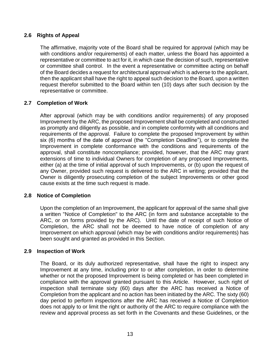## <span id="page-12-0"></span>**2.6 Rights of Appeal**

The affirmative, majority vote of the Board shall be required for approval (which may be with conditions and/or requirements) of each matter, unless the Board has appointed a representative or committee to act for it, in which case the decision of such, representative or committee shall control. In the event a representative or committee acting on behalf of the Board decides a request for architectural approval which is adverse to the applicant, then the applicant shall have the right to appeal such decision to the Board, upon a written request therefor submitted to the Board within ten (10) days after such decision by the representative or committee.

## <span id="page-12-1"></span>**2.7 Completion of Work**

After approval (which may be with conditions and/or requirements) of any proposed Improvement by the ARC, the proposed Improvement shall be completed and constructed as promptly and diligently as possible, and in complete conformity with all conditions and requirements of the approval. Failure to complete the proposed Improvement by within six (6) months of the date of approval (the "Completion Deadline"), or to complete the Improvement in complete conformance with the conditions and requirements of the approval, shall constitute noncompliance; provided, however, that the ARC may grant extensions of time to individual Owners for completion of any proposed Improvements, either (a) at the time of initial approval of such Improvements, or (b) upon the request of any Owner, provided such request is delivered to the ARC in writing; provided that the Owner is diligently prosecuting completion of the subject Improvements or other good cause exists at the time such request is made.

## <span id="page-12-2"></span>**2.8 Notice of Completion**

Upon the completion of an Improvement, the applicant for approval of the same shall give a written "Notice of Completion" to the ARC (in form and substance acceptable to the ARC, or on forms provided by the ARC). Until the date of receipt of such Notice of Completion, the ARC shall not be deemed to have notice of completion of any Improvement on which approval (which may be with conditions and/or requirements) has been sought and granted as provided in this Section.

## <span id="page-12-3"></span>**2.9 Inspection of Work**

The Board, or its duly authorized representative, shall have the right to inspect any Improvement at any time, including prior to or after completion, in order to determine whether or not the proposed Improvement is being completed or has been completed in compliance with the approval granted pursuant to this Article. However, such right of inspection shall terminate sixty (60) days after the ARC has received a Notice of Completion from the applicant and no action has been initiated by the ARC. The sixty (60) day period to perform inspections after the ARC has received a Notice of Completion does not apply to or limit the right or authority of the ARC to require compliance with the review and approval process as set forth in the Covenants and these Guidelines, or the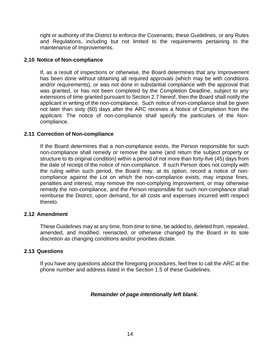right or authority of the District to enforce the Covenants, these Guidelines, or any Rules and Regulations, including but not limited to the requirements pertaining to the maintenance of Improvements.

## <span id="page-13-0"></span>**2.10 Notice of Non-compliance**

If, as a result of inspections or otherwise, the Board determines that any Improvement has been done without obtaining all required approvals (which may be with conditions and/or requirements), or was not done in substantial compliance with the approval that was granted, or has not been completed by the Completion Deadline, subject to any extensions of time granted pursuant to Section 2.7 hereof, then the Board shall notify the applicant in writing of the non-compliance. Such notice of non-compliance shall be given not later than sixty (60) days after the ARC receives a Notice of Completion from the applicant. The notice of non-compliance shall specify the particulars of the Noncompliance.

## <span id="page-13-1"></span>**2.11 Correction of Non-compliance**

If the Board determines that a non-compliance exists, the Person responsible for such non-compliance shall remedy or remove the same (and return the subject property or structure to its original condition) within a period of not more than forty-five (45) days from the date of receipt of the notice of non-compliance. If such Person does not comply with the ruling within such period, the Board may, at its option, record a notice of noncompliance against the Lot on which the non-compliance exists, may impose fines, penalties and interest, may remove the non-complying Improvement, or may otherwise remedy the non-compliance, and the Person responsible for such non-compliance shall reimburse the District, upon demand, for all costs and expenses incurred with respect thereto.

## <span id="page-13-2"></span>**2.12 Amendment**

These Guidelines may at any time, from time to time, be added to, deleted from, repealed, amended, and modified, reenacted, or otherwise changed by the Board in its sole discretion as changing conditions and/or priorities dictate.

### <span id="page-13-3"></span>**2.13 Questions**

If you have any questions about the foregoing procedures, feel free to call the ARC at the phone number and address listed in the Section 1.5 of these Guidelines.

## *Remainder of page intentionally left blank.*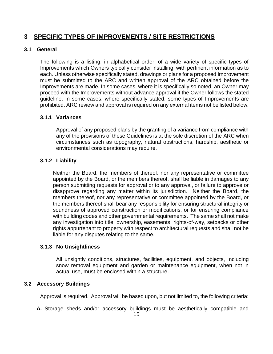# <span id="page-14-0"></span>**3 SPECIFIC TYPES OF IMPROVEMENTS / SITE RESTRICTIONS**

#### <span id="page-14-1"></span>**3.1 General**

The following is a listing, in alphabetical order, of a wide variety of specific types of Improvements which Owners typically consider installing, with pertinent information as to each. Unless otherwise specifically stated, drawings or plans for a proposed Improvement must be submitted to the ARC and written approval of the ARC obtained before the Improvements are made. In some cases, where it is specifically so noted, an Owner may proceed with the Improvements without advance approval if the Owner follows the stated guideline. In some cases, where specifically stated, some types of Improvements are prohibited. ARC review and approval is required on any external items not be listed below.

## **3.1.1 Variances**

Approval of any proposed plans by the granting of a variance from compliance with any of the provisions of these Guidelines is at the sole discretion of the ARC when circumstances such as topography, natural obstructions, hardship, aesthetic or environmental considerations may require.

## **3.1.2 Liability**

Neither the Board, the members of thereof, nor any representative or committee appointed by the Board, or the members thereof, shall be liable in damages to any person submitting requests for approval or to any approval, or failure to approve or disapprove regarding any matter within its jurisdiction. Neither the Board, the members thereof, nor any representative or committee appointed by the Board, or the members thereof shall bear any responsibility for ensuring structural integrity or soundness of approved construction or modifications, or for ensuring compliance with building codes and other governmental requirements. The same shall not make any investigation into title, ownership, easements, rights-of-way, setbacks or other rights appurtenant to property with respect to architectural requests and shall not be liable for any disputes relating to the same.

#### **3.1.3 No Unsightliness**

All unsightly conditions, structures, facilities, equipment, and objects, including snow removal equipment and garden or maintenance equipment, when not in actual use, must be enclosed within a structure.

## <span id="page-14-2"></span>**3.2 Accessory Buildings**

Approval is required. Approval will be based upon, but not limited to, the following criteria:

**A.** Storage sheds and/or accessory buildings must be aesthetically compatible and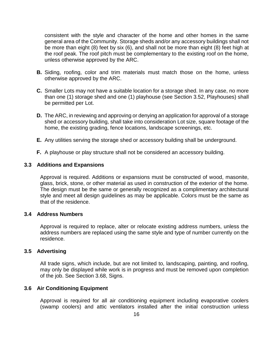consistent with the style and character of the home and other homes in the same general area of the Community. Storage sheds and/or any accessory buildings shall not be more than eight (8) feet by six (6), and shall not be more than eight (8) feet high at the roof peak. The roof pitch must be complementary to the existing roof on the home, unless otherwise approved by the ARC.

- **B.** Siding, roofing, color and trim materials must match those on the home, unless otherwise approved by the ARC.
- **C.** Smaller Lots may not have a suitable location for a storage shed. In any case, no more than one (1) storage shed and one (1) playhouse (see Section 3.52, Playhouses) shall be permitted per Lot.
- **D.** The ARC, in reviewing and approving or denying an application for approval of a storage shed or accessory building, shall take into consideration Lot size, square footage of the home, the existing grading, fence locations, landscape screenings, etc.
- **E.** Any utilities serving the storage shed or accessory building shall be underground.
- **F.** A playhouse or play structure shall not be considered an accessory building.

#### <span id="page-15-0"></span>**3.3 Additions and Expansions**

Approval is required. Additions or expansions must be constructed of wood, masonite, glass, brick, stone, or other material as used in construction of the exterior of the home. The design must be the same or generally recognized as a complimentary architectural style and meet all design guidelines as may be applicable. Colors must be the same as that of the residence.

#### <span id="page-15-1"></span>**3.4 Address Numbers**

Approval is required to replace, alter or relocate existing address numbers, unless the address numbers are replaced using the same style and type of number currently on the residence.

#### <span id="page-15-2"></span>**3.5 Advertising**

All trade signs, which include, but are not limited to, landscaping, painting, and roofing, may only be displayed while work is in progress and must be removed upon completion of the job. See Section 3.68, Signs.

#### <span id="page-15-3"></span>**3.6 Air Conditioning Equipment**

Approval is required for all air conditioning equipment including evaporative coolers (swamp coolers) and attic ventilators installed after the initial construction unless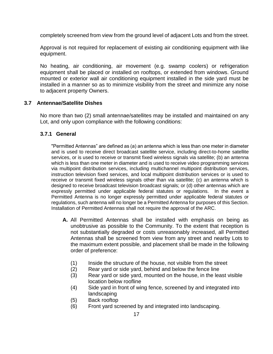completely screened from view from the ground level of adjacent Lots and from the street.

Approval is not required for replacement of existing air conditioning equipment with like equipment.

No heating, air conditioning, air movement (e.g. swamp coolers) or refrigeration equipment shall be placed or installed on rooftops, or extended from windows. Ground mounted or exterior wall air conditioning equipment installed in the side yard must be installed in a manner so as to minimize visibility from the street and minimize any noise to adjacent property Owners.

## <span id="page-16-0"></span>**3.7 Antennae/Satellite Dishes**

No more than two (2) small antennae/satellites may be installed and maintained on any Lot, and only upon compliance with the following conditions:

## **3.7.1 General**

"Permitted Antennas" are defined as (a) an antenna which is less than one meter in diameter and is used to receive direct broadcast satellite service, including direct-to-home satellite services, or is used to receive or transmit fixed wireless signals via satellite; (b) an antenna which is less than one meter in diameter and is used to receive video programming services via multipoint distribution services, including multichannel multipoint distribution services, instruction television fixed services, and local multipoint distribution services or is used to receive or transmit fixed wireless signals other than via satellite; (c) an antenna which is designed to receive broadcast television broadcast signals; or (d) other antennas which are expressly permitted under applicable federal statutes or regulations. In the event a Permitted Antenna is no longer expressly permitted under applicable federal statutes or regulations, such antenna will no longer be a Permitted Antenna for purposes of this Section. Installation of Permitted Antennas shall not require the approval of the ARC.

- **A.** All Permitted Antennas shall be installed with emphasis on being as unobtrusive as possible to the Community. To the extent that reception is not substantially degraded or costs unreasonably increased, all Permitted Antennas shall be screened from view from any street and nearby Lots to the maximum extent possible, and placement shall be made in the following order of preference:
	- (1) Inside the structure of the house, not visible from the street
	- (2) Rear yard or side yard, behind and below the fence line
	- (3) Rear yard or side yard, mounted on the house, in the least visible location below roofline
	- (4) Side yard in front of wing fence, screened by and integrated into landscaping
	- (5) Back rooftop
	- (6) Front yard screened by and integrated into landscaping.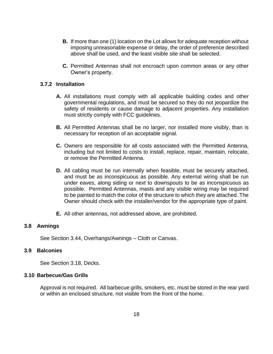- **B.** If more than one (1) location on the Lot allows for adequate reception without imposing unreasonable expense or delay, the order of preference described above shall be used, and the least visible site shall be selected.
- **C.** Permitted Antennas shall not encroach upon common areas or any other Owner's property.

#### **3.7.2 Installation**

- **A.** All installations must comply with all applicable building codes and other governmental regulations, and must be secured so they do not jeopardize the safety of residents or cause damage to adjacent properties. Any installation must strictly comply with FCC guidelines.
- **B.** All Permitted Antennas shall be no larger, nor installed more visibly, than is necessary for reception of an acceptable signal.
- **C.** Owners are responsible for all costs associated with the Permitted Antenna, including but not limited to costs to install, replace, repair, maintain, relocate, or remove the Permitted Antenna.
- **D.** All cabling must be run internally when feasible, must be securely attached, and must be as inconspicuous as possible. Any external wiring shall be run under eaves, along siding or next to downspouts to be as inconspicuous as possible. Permitted Antennas, masts and any visible wiring may be required to be painted to match the color of the structure to which they are attached. The Owner should check with the installer/vendor for the appropriate type of paint.
- **E.** All other antennas, not addressed above, are prohibited.

## <span id="page-17-0"></span>**3.8 Awnings**

See Section 3.44, Overhangs/Awnings – Cloth or Canvas.

#### <span id="page-17-1"></span>**3.9 Balconies**

See Section 3.18, Decks.

#### <span id="page-17-2"></span>**3.10 Barbecue/Gas Grills**

Approval is not required. All barbecue grills, smokers, etc. must be stored in the rear yard or within an enclosed structure, not visible from the front of the home.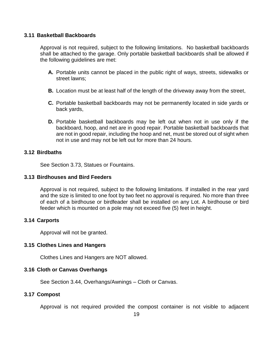#### <span id="page-18-0"></span>**3.11 Basketball Backboards**

Approval is not required, subject to the following limitations. No basketball backboards shall be attached to the garage. Only portable basketball backboards shall be allowed if the following guidelines are met:

- **A.** Portable units cannot be placed in the public right of ways, streets, sidewalks or street lawns;
- **B.** Location must be at least half of the length of the driveway away from the street,
- **C.** Portable basketball backboards may not be permanently located in side yards or back yards,
- **D.** Portable basketball backboards may be left out when not in use only if the backboard, hoop, and net are in good repair. Portable basketball backboards that are not in good repair, including the hoop and net, must be stored out of sight when not in use and may not be left out for more than 24 hours.

## <span id="page-18-1"></span>**3.12 Birdbaths**

See Section 3.73, Statues or Fountains.

#### <span id="page-18-2"></span>**3.13 Birdhouses and Bird Feeders**

Approval is not required, subject to the following limitations. If installed in the rear yard and the size is limited to one foot by two feet no approval is required. No more than three of each of a birdhouse or birdfeader shall be installed on any Lot. A birdhouse or bird feeder which is mounted on a pole may not exceed five (5) feet in height.

#### <span id="page-18-3"></span>**3.14 Carports**

Approval will not be granted.

## <span id="page-18-4"></span>**3.15 Clothes Lines and Hangers**

Clothes Lines and Hangers are NOT allowed.

#### <span id="page-18-5"></span>**3.16 Cloth or Canvas Overhangs**

See Section 3.44, Overhangs/Awnings – Cloth or Canvas.

#### <span id="page-18-6"></span>**3.17 Compost**

Approval is not required provided the compost container is not visible to adjacent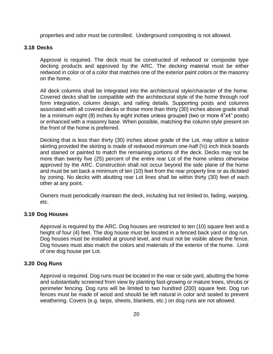properties and odor must be controlled. Underground composting is not allowed.

## <span id="page-19-0"></span>**3.18 Decks**

Approval is required. The deck must be constructed of redwood or composite type decking products and approved by the ARC. The decking material must be either redwood in color or of a color that matches one of the exterior paint colors or the masonry on the home.

All deck columns shall be integrated into the architectural style/character of the home. Covered decks shall be compatible with the architectural style of the home through roof form integration, column design, and railing details. Supporting posts and columns associated with all covered decks or those more than thirty (30) inches above grade shall be a minimum eight (8) inches by eight inches unless grouped (two or more 4"x4" posts) or enhanced with a masonry base. When possible, matching the column style present on the front of the home is preferred.

Decking that is less than thirty (30) inches above grade of the Lot, may utilize a lattice skirting provided the skirting is made of redwood minimum one-half (½) inch thick boards and stained or painted to match the remaining portions of the deck. Decks may not be more than twenty five (25) percent of the entire rear Lot of the home unless otherwise approved by the ARC. Construction shall not occur beyond the side plane of the home and must be set back a minimum of ten (10) feet from the rear property line or as dictated by zoning. No decks with abutting rear Lot lines shall be within thirty (30) feet of each other at any point.

Owners must periodically maintain the deck, including but not limited to, fading, warping, etc.

#### <span id="page-19-1"></span>**3.19 Dog Houses**

Approval is required by the ARC. Dog houses are restricted to ten (10) square feet and a height of four (4) feet. The dog house must be located in a fenced back yard or dog run. Dog houses must be installed at ground level, and must not be visible above the fence. Dog houses must also match the colors and materials of the exterior of the home. Limit of one dog house per Lot.

#### <span id="page-19-2"></span>**3.20 Dog Runs**

Approval is required. Dog runs must be located in the rear or side yard, abutting the home and substantially screened from view by planting fast-growing or mature trees, shrubs or perimeter fencing. Dog runs will be limited to two hundred (200) square feet. Dog run fences must be made of wood and should be left natural in color and sealed to prevent weathering. Covers (e.g. tarps, sheets, blankets, etc.) on dog runs are not allowed.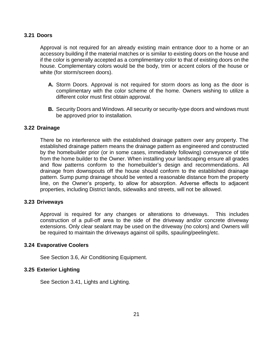#### <span id="page-20-0"></span>**3.21 Doors**

Approval is not required for an already existing main entrance door to a home or an accessory building if the material matches or is similar to existing doors on the house and if the color is generally accepted as a complimentary color to that of existing doors on the house. Complementary colors would be the body, trim or accent colors of the house or white (for storm/screen doors).

- **A.** Storm Doors. Approval is not required for storm doors as long as the door is complimentary with the color scheme of the home. Owners wishing to utilize a different color must first obtain approval.
- **B.** Security Doors and Windows. All security or security-type doors and windows must be approved prior to installation.

## <span id="page-20-1"></span>**3.22 Drainage**

There be no interference with the established drainage pattern over any property. The established drainage pattern means the drainage pattern as engineered and constructed by the homebuilder prior (or in some cases, immediately following) conveyance of title from the home builder to the Owner. When installing your landscaping ensure all grades and flow patterns conform to the homebuilder's design and recommendations. All drainage from downspouts off the house should conform to the established drainage pattern. Sump pump drainage should be vented a reasonable distance from the property line, on the Owner's property, to allow for absorption. Adverse effects to adjacent properties, including District lands, sidewalks and streets, will not be allowed.

#### <span id="page-20-2"></span>**3.23 Driveways**

Approval is required for any changes or alterations to driveways. This includes construction of a pull-off area to the side of the driveway and/or concrete driveway extensions. Only clear sealant may be used on the driveway (no colors) and Owners will be required to maintain the driveways against oil spills, spauling/peeling/etc.

#### <span id="page-20-3"></span>**3.24 Evaporative Coolers**

See Section 3.6, Air Conditioning Equipment.

#### <span id="page-20-4"></span>**3.25 Exterior Lighting**

See Section 3.41, Lights and Lighting.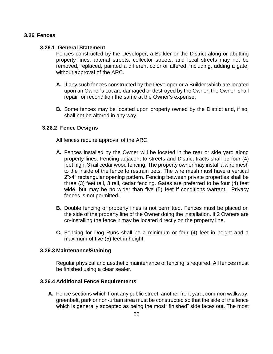## <span id="page-21-0"></span>**3.26 Fences**

#### **3.26.1 General Statement**

Fences constructed by the Developer, a Builder or the District along or abutting property lines, arterial streets, collector streets, and local streets may not be removed, replaced, painted a different color or altered, including, adding a gate, without approval of the ARC.

- **A.** If any such fences constructed by the Developer or a Builder which are located upon an Owner's Lot are damaged or destroyed by the Owner, the Owner shall repair or recondition the same at the Owner's expense.
- **B.** Some fences may be located upon property owned by the District and, if so, shall not be altered in any way.

## **3.26.2 Fence Designs**

All fences require approval of the ARC.

- **A.** Fences installed by the Owner will be located in the rear or side yard along property lines. Fencing adjacent to streets and District tracts shall be four (4) feet high, 3 rail cedar wood fencing. The property owner may install a wire mesh to the inside of the fence to restrain pets. The wire mesh must have a vertical 2"x4" rectangular opening pattern. Fencing between private properties shall be three (3) feet tall, 3 rail, cedar fencing. Gates are preferred to be four (4) feet wide, but may be no wider than five (5) feet if conditions warrant. Privacy fences is not permitted.
- **B.** Double fencing of property lines is not permitted. Fences must be placed on the side of the property line of the Owner doing the installation. If 2 Owners are co-installing the fence it may be located directly on the property line.
- **C.** Fencing for Dog Runs shall be a minimum or four (4) feet in height and a maximum of five (5) feet in height.

#### **3.26.3 Maintenance/Staining**

Regular physical and aesthetic maintenance of fencing is required. All fences must be finished using a clear sealer.

#### **3.26.4 Additional Fence Requirements**

**A.** Fence sections which front any public street, another front yard, common walkway, greenbelt, park or non-urban area must be constructed so that the side of the fence which is generally accepted as being the most "finished" side faces out. The most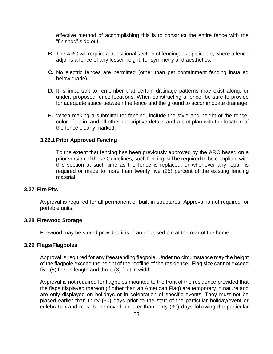effective method of accomplishing this is to construct the entire fence with the "finished" side out.

- **B.** The ARC will require a transitional section of fencing, as applicable, where a fence adjoins a fence of any lesser height, for symmetry and aesthetics.
- **C.** No electric fences are permitted (other than pet containment fencing installed below grade).
- **D.** It is important to remember that certain drainage patterns may exist along, or under, proposed fence locations. When constructing a fence, be sure to provide for adequate space between the fence and the ground to accommodate drainage.
- **E.** When making a submittal for fencing, include the style and height of the fence, color of stain, and all other descriptive details and a plot plan with the location of the fence clearly marked.

#### **3.26.1 Prior Approved Fencing**

To the extent that fencing has been previously approved by the ARC based on a prior version of these Guidelines, such fencing will be required to be compliant with this section at such time as the fence is replaced, or whenever any repair is required or made to more than twenty five (25) percent of the existing fencing material.

#### <span id="page-22-0"></span>**3.27 Fire Pits**

Approval is required for all permanent or built-in structures. Approval is not required for portable units.

#### <span id="page-22-1"></span>**3.28 Firewood Storage**

Firewood may be stored provided it is in an enclosed bin at the rear of the home.

#### <span id="page-22-2"></span>**3.29 Flags/Flagpoles**

Approval is required for any freestanding flagpole. Under no circumstance may the height of the flagpole exceed the height of the roofline of the residence. Flag size cannot exceed five (5) feet in length and three (3) feet in width.

Approval is not required for flagpoles mounted to the front of the residence provided that the flags displayed thereon (if other than an American Flag) are temporary in nature and are only displayed on holidays or in celebration of specific events. They must not be placed earlier than thirty (30) days prior to the start of the particular holiday/event or celebration and must be removed no later than thirty (30) days following the particular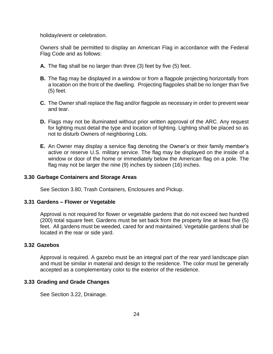holiday/event or celebration.

Owners shall be permitted to display an American Flag in accordance with the Federal Flag Code and as follows:

- **A.** The flag shall be no larger than three (3) feet by five (5) feet.
- **B.** The flag may be displayed in a window or from a flagpole projecting horizontally from a location on the front of the dwelling. Projecting flagpoles shall be no longer than five (5) feet.
- **C.** The Owner shall replace the flag and/or flagpole as necessary in order to prevent wear and tear.
- **D.** Flags may not be illuminated without prior written approval of the ARC. Any request for lighting must detail the type and location of lighting. Lighting shall be placed so as not to disturb Owners of neighboring Lots.
- **E.** An Owner may display a service flag denoting the Owner's or their family member's active or reserve U.S. military service. The flag may be displayed on the inside of a window or door of the home or immediately below the American flag on a pole. The flag may not be larger the nine (9) inches by sixteen (16) inches.

#### <span id="page-23-0"></span>**3.30 Garbage Containers and Storage Areas**

See Section 3.80, Trash Containers, Enclosures and Pickup.

#### <span id="page-23-1"></span>**3.31 Gardens – Flower or Vegetable**

Approval is not required for flower or vegetable gardens that do not exceed two hundred (200) total square feet. Gardens must be set back from the property line at least five (5) feet. All gardens must be weeded, cared for and maintained. Vegetable gardens shall be located in the rear or side yard.

#### <span id="page-23-2"></span>**3.32 Gazebos**

Approval is required. A gazebo must be an integral part of the rear yard landscape plan and must be similar in material and design to the residence. The color must be generally accepted as a complementary color to the exterior of the residence.

#### <span id="page-23-3"></span>**3.33 Grading and Grade Changes**

See Section 3.22, Drainage.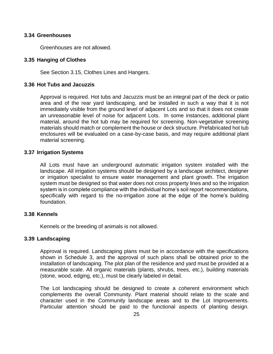#### <span id="page-24-0"></span>**3.34 Greenhouses**

Greenhouses are not allowed.

#### <span id="page-24-1"></span>**3.35 Hanging of Clothes**

See Section 3.15, Clothes Lines and Hangers.

#### <span id="page-24-2"></span>**3.36 Hot Tubs and Jacuzzis**

Approval is required. Hot tubs and Jacuzzis must be an integral part of the deck or patio area and of the rear yard landscaping, and be installed in such a way that it is not immediately visible from the ground level of adjacent Lots and so that it does not create an unreasonable level of noise for adjacent Lots. In some instances, additional plant material, around the hot tub may be required for screening. Non-vegetative screening materials should match or complement the house or deck structure. Prefabricated hot tub enclosures will be evaluated on a case-by-case basis, and may require additional plant material screening.

#### <span id="page-24-3"></span>**3.37 Irrigation Systems**

All Lots must have an underground automatic irrigation system installed with the landscape. All irrigation systems should be designed by a landscape architect, designer or irrigation specialist to ensure water management and plant growth. The irrigation system must be designed so that water does not cross property lines and so the irrigation system is in complete compliance with the individual home's soil report recommendations, specifically with regard to the no-irrigation zone at the edge of the home's building foundation.

#### <span id="page-24-4"></span>**3.38 Kennels**

Kennels or the breeding of animals is not allowed.

#### <span id="page-24-5"></span>**3.39 Landscaping**

Approval is required. Landscaping plans must be in accordance with the specifications shown in Schedule 3, and the approval of such plans shall be obtained prior to the installation of landscaping. The plot plan of the residence and yard must be provided at a measurable scale. All organic materials (plants, shrubs, trees, etc.), building materials (stone, wood, edging, etc.), must be clearly labeled in detail.

The Lot landscaping should be designed to create a coherent environment which complements the overall Community. Plant material should relate to the scale and character used in the Community landscape areas and to the Lot Improvements. Particular attention should be paid to the functional aspects of planting design.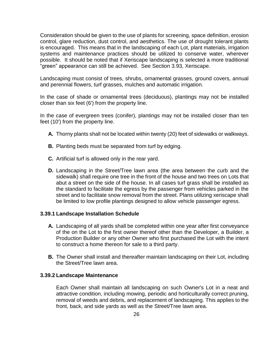Consideration should be given to the use of plants for screening, space definition, erosion control, glare reduction, dust control, and aesthetics. The use of drought tolerant plants is encouraged. This means that in the landscaping of each Lot, plant materials, irrigation systems and maintenance practices should be utilized to conserve water, wherever possible. It should be noted that if Xeriscape landscaping is selected a more traditional "green" appearance can still be achieved. See Section 3.93, Xeriscape.

Landscaping must consist of trees, shrubs, ornamental grasses, ground covers, annual and perennial flowers, turf grasses, mulches and automatic irrigation.

In the case of shade or ornamental trees (deciduous), plantings may not be installed closer than six feet (6') from the property line.

In the case of evergreen trees (conifer), plantings may not be installed closer than ten feet (10') from the property line.

- **A.** Thorny plants shall not be located within twenty (20) feet of sidewalks or walkways.
- **B.** Planting beds must be separated from turf by edging.
- **C.** Artificial turf is allowed only in the rear yard.
- **D.** Landscaping in the Street/Tree lawn area (the area between the curb and the sidewalk) shall require one tree in the front of the house and two trees on Lots that abut a street on the side of the house. In all cases turf grass shall be installed as the standard to facilitate the egress by the passenger from vehicles parked in the street and to facilitate snow removal from the street. Plans utilizing xeriscape shall be limited to low profile plantings designed to allow vehicle passenger egress.

#### **3.39.1 Landscape Installation Schedule**

- **A.** Landscaping of all yards shall be completed within one year after first conveyance of the on the Lot to the first owner thereof other than the Developer, a Builder, a Production Builder or any other Owner who first purchased the Lot with the intent to construct a home thereon for sale to a third party.
- **B.** The Owner shall install and thereafter maintain landscaping on their Lot, including the Street/Tree lawn area.

#### **3.39.2 Landscape Maintenance**

Each Owner shall maintain all landscaping on such Owner's Lot in a neat and attractive condition, including mowing, periodic and horticulturally correct pruning, removal of weeds and debris, and replacement of landscaping. This applies to the front, back, and side yards as well as the Street/Tree lawn area.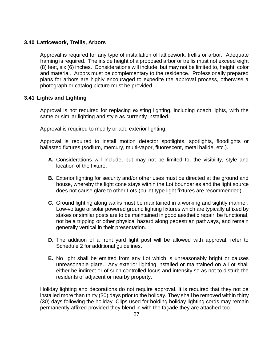## <span id="page-26-0"></span>**3.40 Latticework, Trellis, Arbors**

Approval is required for any type of installation of latticework, trellis or arbor. Adequate framing is required. The inside height of a proposed arbor or trellis must not exceed eight (8) feet, six (6) inches. Considerations will include, but may not be limited to, height, color and material. Arbors must be complementary to the residence. Professionally prepared plans for arbors are highly encouraged to expedite the approval process, otherwise a photograph or catalog picture must be provided.

## <span id="page-26-1"></span>**3.41 Lights and Lighting**

Approval is not required for replacing existing lighting, including coach lights, with the same or similar lighting and style as currently installed.

Approval is required to modify or add exterior lighting.

Approval is required to install motion detector spotlights, spotlights, floodlights or ballasted fixtures (sodium, mercury, multi-vapor, fluorescent, metal halide, etc.).

- **A.** Considerations will include, but may not be limited to, the visibility, style and location of the fixture.
- **B.** Exterior lighting for security and/or other uses must be directed at the ground and house, whereby the light cone stays within the Lot boundaries and the light source does not cause glare to other Lots (bullet type light fixtures are recommended).
- **C.** Ground lighting along walks must be maintained in a working and sightly manner. Low-voltage or solar powered ground lighting fixtures which are typically affixed by stakes or similar posts are to be maintained in good aesthetic repair, be functional, not be a tripping or other physical hazard along pedestrian pathways, and remain generally vertical in their presentation.
- **D.** The addition of a front yard light post will be allowed with approval, refer to Schedule 2 for additional guidelines.
- **E.** No light shall be emitted from any Lot which is unreasonably bright or causes unreasonable glare. Any exterior lighting installed or maintained on a Lot shall either be indirect or of such controlled focus and intensity so as not to disturb the residents of adjacent or nearby property.

Holiday lighting and decorations do not require approval. It is required that they not be installed more than thirty (30) days prior to the holiday. They shall be removed within thirty (30) days following the holiday. Clips used for holding holiday lighting cords may remain permanently affixed provided they blend in with the façade they are attached too.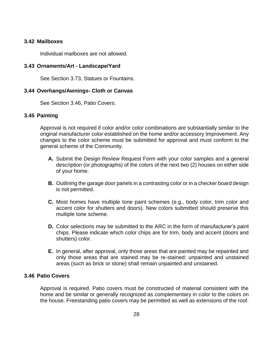#### <span id="page-27-0"></span>**3.42 Mailboxes**

Individual mailboxes are not allowed.

#### <span id="page-27-1"></span>**3.43 Ornaments/Art - Landscape/Yard**

See Section 3.73, Statues or Fountains.

#### <span id="page-27-2"></span>**3.44 Overhangs/Awnings- Cloth or Canvas**

See Section 3.46, Patio Covers.

### <span id="page-27-3"></span>**3.45 Painting**

Approval is not required if color and/or color combinations are substantially similar to the original manufacturer color established on the home and/or accessory Improvement. Any changes to the color scheme must be submitted for approval and must conform to the general scheme of the Community.

- **A.** Submit the Design Review Request Form with your color samples and a general description (or photographs) of the colors of the next two (2) houses on either side of your home.
- **B.** Outlining the garage door panels in a contrasting color or in a checker board design is not permitted.
- **C.** Most homes have multiple tone paint schemes (e.g., body color, trim color and accent color for shutters and doors). New colors submitted should preserve this multiple tone scheme.
- **D.** Color selections may be submitted to the ARC in the form of manufacturer's paint chips. Please indicate which color chips are for trim, body and accent (doors and shutters) color.
- **E.** In general, after approval, only those areas that are painted may be repainted and only those areas that are stained may be re-stained; unpainted and unstained areas (such as brick or stone) shall remain unpainted and unstained.

#### <span id="page-27-4"></span>**3.46 Patio Covers**

Approval is required. Patio covers must be constructed of material consistent with the home and be similar or generally recognized as complementary in color to the colors on the house. Freestanding patio covers may be permitted as well as extensions of the roof.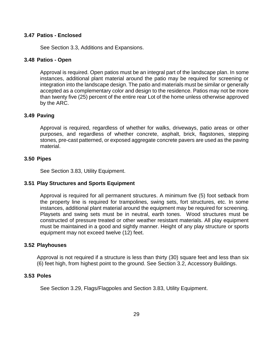#### <span id="page-28-0"></span>**3.47 Patios - Enclosed**

See Section 3.3, Additions and Expansions.

#### <span id="page-28-1"></span>**3.48 Patios - Open**

Approval is required. Open patios must be an integral part of the landscape plan. In some instances, additional plant material around the patio may be required for screening or integration into the landscape design. The patio and materials must be similar or generally accepted as a complementary color and design to the residence. Patios may not be more than twenty five (25) percent of the entire rear Lot of the home unless otherwise approved by the ARC.

#### <span id="page-28-2"></span>**3.49 Paving**

Approval is required, regardless of whether for walks, driveways, patio areas or other purposes, and regardless of whether concrete, asphalt, brick, flagstones, stepping stones, pre-cast patterned, or exposed aggregate concrete pavers are used as the paving material.

#### <span id="page-28-3"></span>**3.50 Pipes**

See Section 3.83, Utility Equipment.

#### <span id="page-28-4"></span>**3.51 Play Structures and Sports Equipment**

Approval is required for all permanent structures. A minimum five (5) foot setback from the property line is required for trampolines, swing sets, fort structures, etc. In some instances, additional plant material around the equipment may be required for screening. Playsets and swing sets must be in neutral, earth tones. Wood structures must be constructed of pressure treated or other weather resistant materials. All play equipment must be maintained in a good and sightly manner. Height of any play structure or sports equipment may not exceed twelve (12) feet.

#### <span id="page-28-5"></span>**3.52 Playhouses**

Approval is not required if a structure is less than thirty (30) square feet and less than six (6) feet high, from highest point to the ground. See Section 3.2, Accessory Buildings.

#### <span id="page-28-6"></span>**3.53 Poles**

See Section 3.29, Flags/Flagpoles and Section 3.83, Utility Equipment.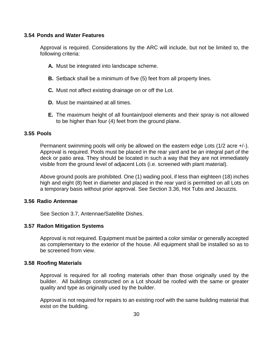#### <span id="page-29-0"></span>**3.54 Ponds and Water Features**

Approval is required. Considerations by the ARC will include, but not be limited to, the following criteria:

- **A.** Must be integrated into landscape scheme.
- **B.** Setback shall be a minimum of five (5) feet from all property lines.
- **C.** Must not affect existing drainage on or off the Lot.
- **D.** Must be maintained at all times.
- **E.** The maximum height of all fountain/pool elements and their spray is not allowed to be higher than four (4) feet from the ground plane.

#### <span id="page-29-1"></span>**3.55 Pools**

Permanent swimming pools will only be allowed on the eastern edge Lots (1/2 acre +/-). Approval is required. Pools must be placed in the rear yard and be an integral part of the deck or patio area. They should be located in such a way that they are not immediately visible from the ground level of adjacent Lots (i.e. screened with plant material).

Above ground pools are prohibited. One (1) wading pool, if less than eighteen (18) inches high and eight (8) feet in diameter and placed in the rear yard is permitted on all Lots on a temporary basis without prior approval. See Section 3.36, Hot Tubs and Jacuzzis.

#### <span id="page-29-2"></span>**3.56 Radio Antennae**

See Section 3.7, Antennae/Satellite Dishes.

#### <span id="page-29-3"></span>**3.57 Radon Mitigation Systems**

Approval is not required. Equipment must be painted a color similar or generally accepted as complementary to the exterior of the house. All equipment shall be installed so as to be screened from view.

#### <span id="page-29-4"></span>**3.58 Roofing Materials**

Approval is required for all roofing materials other than those originally used by the builder. All buildings constructed on a Lot should be roofed with the same or greater quality and type as originally used by the builder.

Approval is not required for repairs to an existing roof with the same building material that exist on the building.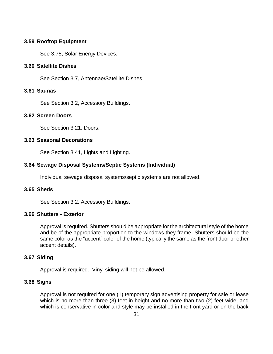### <span id="page-30-0"></span>**3.59 Rooftop Equipment**

See 3.75, Solar Energy Devices.

#### <span id="page-30-1"></span>**3.60 Satellite Dishes**

See Section 3.7, Antennae/Satellite Dishes.

## <span id="page-30-2"></span>**3.61 Saunas**

See Section 3.2, Accessory Buildings.

## <span id="page-30-3"></span>**3.62 Screen Doors**

See Section 3.21, Doors.

## <span id="page-30-4"></span>**3.63 Seasonal Decorations**

See Section 3.41, Lights and Lighting.

## <span id="page-30-5"></span>**3.64 Sewage Disposal Systems/Septic Systems (Individual)**

Individual sewage disposal systems/septic systems are not allowed.

#### <span id="page-30-6"></span>**3.65 Sheds**

See Section 3.2, Accessory Buildings.

#### <span id="page-30-7"></span>**3.66 Shutters - Exterior**

Approval is required. Shutters should be appropriate for the architectural style of the home and be of the appropriate proportion to the windows they frame. Shutters should be the same color as the "accent" color of the home (typically the same as the front door or other accent details).

#### <span id="page-30-8"></span>**3.67 Siding**

Approval is required. Vinyl siding will not be allowed.

#### <span id="page-30-9"></span>**3.68 Signs**

Approval is not required for one (1) temporary sign advertising property for sale or lease which is no more than three (3) feet in height and no more than two (2) feet wide, and which is conservative in color and style may be installed in the front yard or on the back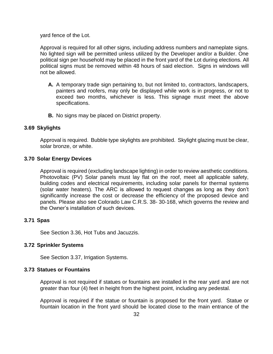yard fence of the Lot.

Approval is required for all other signs, including address numbers and nameplate signs. No lighted sign will be permitted unless utilized by the Developer and/or a Builder. One political sign per household may be placed in the front yard of the Lot during elections. All political signs must be removed within 48 hours of said election. Signs in windows will not be allowed.

- **A.** A temporary trade sign pertaining to, but not limited to, contractors, landscapers, painters and roofers, may only be displayed while work is in progress, or not to exceed two months, whichever is less. This signage must meet the above specifications.
- **B.** No signs may be placed on District property.

#### <span id="page-31-0"></span>**3.69 Skylights**

Approval is required. Bubble type skylights are prohibited. Skylight glazing must be clear, solar bronze, or white.

#### <span id="page-31-1"></span>**3.70 Solar Energy Devices**

Approval is required (excluding landscape lighting) in order to review aesthetic conditions. Photovoltaic (PV) Solar panels must lay flat on the roof, meet all applicable safety, building codes and electrical requirements, including solar panels for thermal systems (solar water heaters). The ARC is allowed to request changes as long as they don't significantly increase the cost or decrease the efficiency of the proposed device and panels. Please also see Colorado Law C.R.S. 38- 30-168, which governs the review and the Owner's installation of such devices.

#### <span id="page-31-2"></span>**3.71 Spas**

See Section 3.36, Hot Tubs and Jacuzzis.

#### <span id="page-31-3"></span>**3.72 Sprinkler Systems**

See Section 3.37, Irrigation Systems.

## <span id="page-31-4"></span>**3.73 Statues or Fountains**

Approval is not required if statues or fountains are installed in the rear yard and are not greater than four (4) feet in height from the highest point, including any pedestal.

Approval is required if the statue or fountain is proposed for the front yard. Statue or fountain location in the front yard should be located close to the main entrance of the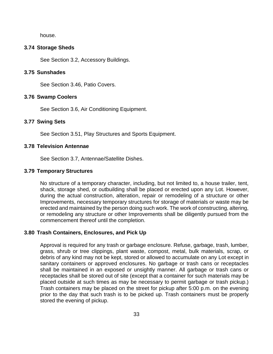house.

#### <span id="page-32-0"></span>**3.74 Storage Sheds**

See Section 3.2, Accessory Buildings.

#### <span id="page-32-1"></span>**3.75 Sunshades**

See Section 3.46, Patio Covers.

#### <span id="page-32-2"></span>**3.76 Swamp Coolers**

See Section 3.6, Air Conditioning Equipment.

#### <span id="page-32-3"></span>**3.77 Swing Sets**

See Section 3.51, Play Structures and Sports Equipment.

#### <span id="page-32-4"></span>**3.78 Television Antennae**

See Section 3.7, Antennae/Satellite Dishes.

#### <span id="page-32-5"></span>**3.79 Temporary Structures**

No structure of a temporary character, including, but not limited to, a house trailer, tent, shack, storage shed, or outbuilding shall be placed or erected upon any Lot. However, during the actual construction, alteration, repair or remodeling of a structure or other Improvements, necessary temporary structures for storage of materials or waste may be erected and maintained by the person doing such work. The work of constructing, altering, or remodeling any structure or other Improvements shall be diligently pursued from the commencement thereof until the completion.

#### <span id="page-32-6"></span>**3.80 Trash Containers, Enclosures, and Pick Up**

Approval is required for any trash or garbage enclosure. Refuse, garbage, trash, lumber, grass, shrub or tree clippings, plant waste, compost, metal, bulk materials, scrap, or debris of any kind may not be kept, stored or allowed to accumulate on any Lot except in sanitary containers or approved enclosures. No garbage or trash cans or receptacles shall be maintained in an exposed or unsightly manner. All garbage or trash cans or receptacles shall be stored out of site (except that a container for such materials may be placed outside at such times as may be necessary to permit garbage or trash pickup.) Trash containers may be placed on the street for pickup after 5:00 p.m. on the evening prior to the day that such trash is to be picked up. Trash containers must be properly stored the evening of pickup.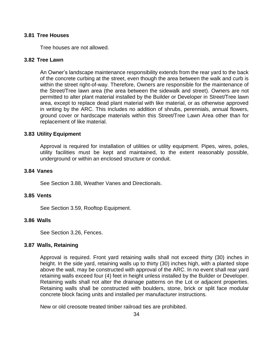#### <span id="page-33-0"></span>**3.81 Tree Houses**

Tree houses are not allowed.

#### <span id="page-33-1"></span>**3.82 Tree Lawn**

An Owner's landscape maintenance responsibility extends from the rear yard to the back of the concrete curbing at the street, even though the area between the walk and curb is within the street right-of-way. Therefore, Owners are responsible for the maintenance of the Street/Tree lawn area (the area between the sidewalk and street). Owners are not permitted to alter plant material installed by the Builder or Developer in Street/Tree lawn area, except to replace dead plant material with like material, or as otherwise approved in writing by the ARC. This includes no addition of shrubs, perennials, annual flowers, ground cover or hardscape materials within this Street/Tree Lawn Area other than for replacement of like material.

#### <span id="page-33-2"></span>**3.83 Utility Equipment**

Approval is required for installation of utilities or utility equipment. Pipes, wires, poles, utility facilities must be kept and maintained, to the extent reasonably possible, underground or within an enclosed structure or conduit.

#### <span id="page-33-3"></span>**3.84 Vanes**

See Section 3.88, Weather Vanes and Directionals.

#### <span id="page-33-4"></span>**3.85 Vents**

See Section 3.59, Rooftop Equipment.

#### <span id="page-33-5"></span>**3.86 Walls**

See Section 3.26, Fences.

#### <span id="page-33-6"></span>**3.87 Walls, Retaining**

Approval is required. Front yard retaining walls shall not exceed thirty (30) inches in height. In the side yard, retaining walls up to thirty (30) inches high, with a planted slope above the wall, may be constructed with approval of the ARC. In no event shall rear yard retaining walls exceed four (4) feet in height unless installed by the Builder or Developer. Retaining walls shall not alter the drainage patterns on the Lot or adjacent properties. Retaining walls shall be constructed with boulders, stone, brick or split face modular concrete block facing units and installed per manufacturer instructions.

New or old creosote treated timber railroad ties are prohibited.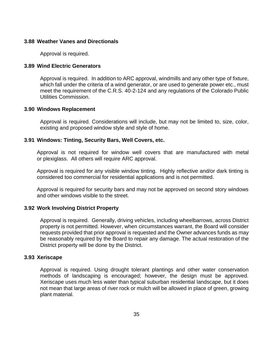#### <span id="page-34-0"></span>**3.88 Weather Vanes and Directionals**

Approval is required.

#### <span id="page-34-1"></span>**3.89 Wind Electric Generators**

Approval is required. In addition to ARC approval, windmills and any other type of fixture, which fall under the criteria of a wind generator, or are used to generate power etc., must meet the requirement of the C.R.S. 40-2-124 and any regulations of the Colorado Public Utilities Commission.

#### <span id="page-34-2"></span>**3.90 Windows Replacement**

Approval is required. Considerations will include, but may not be limited to, size, color, existing and proposed window style and style of home.

#### <span id="page-34-3"></span>**3.91 Windows: Tinting, Security Bars, Well Covers, etc.**

Approval is not required for window well covers that are manufactured with metal or plexiglass. All others will require ARC approval.

Approval is required for any visible window tinting. Highly reflective and/or dark tinting is considered too commercial for residential applications and is not permitted.

Approval is required for security bars and may not be approved on second story windows and other windows visible to the street.

#### <span id="page-34-4"></span>**3.92 Work Involving District Property**

Approval is required. Generally, driving vehicles, including wheelbarrows, across District property is not permitted. However, when circumstances warrant, the Board will consider requests provided that prior approval is requested and the Owner advances funds as may be reasonably required by the Board to repair any damage. The actual restoration of the District property will be done by the District.

#### <span id="page-34-5"></span>**3.93 Xeriscape**

Approval is required. Using drought tolerant plantings and other water conservation methods of landscaping is encouraged; however, the design must be approved. Xeriscape uses much less water than typical suburban residential landscape, but it does not mean that large areas of river rock or mulch will be allowed in place of green, growing plant material.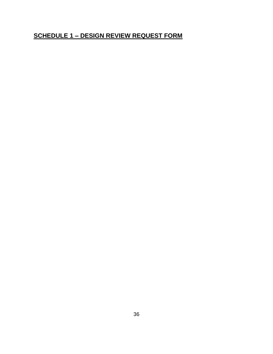# <span id="page-35-0"></span>**SCHEDULE 1 – DESIGN REVIEW REQUEST FORM**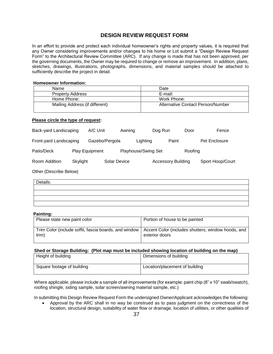## **DESIGN REVIEW REQUEST FORM**

In an effort to provide and protect each individual homeowner's rights and property values, it is required that any Owner considering improvements and/or changes to his home or Lot submit a "Design Review Request Form" to the Architectural Review Committee (ARC). If any change is made that has not been approved, per the governing documents, the Owner may be required to change or remove an improvement. In addition, plans, sketches, drawings, illustrations, photographs, dimensions, and material samples should be attached to sufficiently describe the project in detail.

#### **Homeowner Information:**

| Name                           | Date                              |
|--------------------------------|-----------------------------------|
| <b>Property Address</b>        | E-mail:                           |
| Home Phone:                    | Work Phone:                       |
| Mailing Address (if different) | Alternative Contact Person/Number |

#### **Please circle the type of request:**

| Back-yard Landscaping  |                       | A/C Unit |                | Awning              | Dog Run |                           | Door    | Fence            |
|------------------------|-----------------------|----------|----------------|---------------------|---------|---------------------------|---------|------------------|
| Front-yard Landscaping |                       |          | Gazebo/Pergola | Lighting            |         | Paint                     |         | Pet Enclosure    |
| Patio/Deck             | <b>Play Equipment</b> |          |                | Playhouse/Swing Set |         |                           | Roofing |                  |
| Room Addition          | Skylight              |          | Solar Device   |                     |         | <b>Accessory Building</b> |         | Sport Hoop/Court |

Other (Describe Below)

| Details: |  |  |  |
|----------|--|--|--|
|          |  |  |  |
|          |  |  |  |
|          |  |  |  |
|          |  |  |  |

#### **Painting:**

| Please state new paint color                          | Portion of house to be painted                     |
|-------------------------------------------------------|----------------------------------------------------|
| Trim Color (include soffit, fascia boards, and window | Accent Color (includes shutters, window hoods, and |
| trim)                                                 | exterior doors                                     |

#### **Shed or Storage Building: (Plot map must be included showing location of building on the map)**

| Height of building         | Dimensions of building         |
|----------------------------|--------------------------------|
| Square footage of building | Location/placement of building |

Where applicable, please include a sample of all improvements (for example: paint chip (8" x 10" swab/swatch), roofing shingle, siding sample, solar screen/awning material sample, etc.)

In submitting this Design Review Request Form the undersigned Owner/Applicant acknowledges the following:

 Approval by the ARC shall in no way be construed as to pass judgment on the correctness of the location, structural design, suitability of water flow or drainage, location of utilities, or other qualities of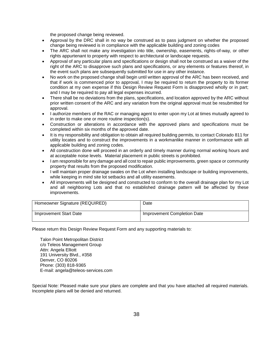the proposed change being reviewed.

- Approval by the DRC shall in no way be construed as to pass judgment on whether the proposed change being reviewed is in compliance with the applicable building and zoning codes
- The ARC shall not make any investigation into title, ownership, easements, rights-of-way, or other rights appurtenant to property with respect to architectural or landscape requests.
- Approval of any particular plans and specifications or design shall not be construed as a waiver of the right of the ARC to disapprove such plans and specifications, or any elements or features thereof, in the event such plans are subsequently submitted for use in any other instance.
- No work on the proposed change shall begin until written approval of the ARC has been received, and that if work is commenced prior to approval, I may be required to return the property to its former condition at my own expense if this Design Review Request Form is disapproved wholly or in part; and I may be required to pay all legal expenses incurred.
- There shall be no deviations from the plans, specifications, and location approved by the ARC without prior written consent of the ARC and any variation from the original approval must be resubmitted for approval.
- I authorize members of the RAC or managing agent to enter upon my Lot at times mutually agreed to in order to make one or more routine inspection(s).
- Construction or alterations in accordance with the approved plans and specifications must be completed within six months of the approved date.
- It is my responsibility and obligation to obtain all required building permits, to contact Colorado 811 for utility locates and to construct the improvements in a workmanlike manner in conformance with all applicable building and zoning codes.
- All construction done will proceed in an orderly and timely manner during normal working hours and at acceptable noise levels. Material placement in public streets is prohibited.
- I am responsible for any damage and all cost to repair public improvements, green space or community property that results from the proposed modification.
- I will maintain proper drainage swales on the Lot when installing landscape or building improvements, while keeping in mind site lot setbacks and all utility easements.
- All improvements will be designed and constructed to conform to the overall drainage plan for my Lot and all neighboring Lots and that no established drainage pattern will be affected by these improvements.

| Homeowner Signature (REQUIRED) | Date                        |
|--------------------------------|-----------------------------|
| Improvement Start Date         | Improvement Completion Date |

Please return this Design Review Request Form and any supporting materials to:

Talon Point Metropolitan District c/o Teleos Management Group Attn: Angela Elliott 191 University Blvd., #358 Denver, CO 80206 Phone: (303) 818-9365 E-mail: angela@teleos-services.com

Special Note: Pleased make sure your plans are complete and that you have attached all required materials. Incomplete plans will be denied and returned.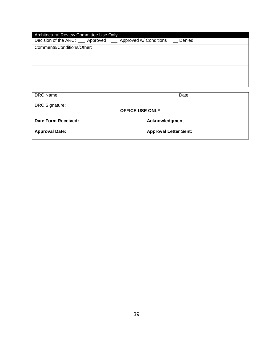| Architectural Review Committee Use Only                    |                              |  |  |  |  |
|------------------------------------------------------------|------------------------------|--|--|--|--|
| Decision of the ARC: __ Approved __ Approved w/ Conditions | Denied                       |  |  |  |  |
| Comments/Conditions/Other:                                 |                              |  |  |  |  |
|                                                            |                              |  |  |  |  |
|                                                            |                              |  |  |  |  |
|                                                            |                              |  |  |  |  |
|                                                            |                              |  |  |  |  |
|                                                            |                              |  |  |  |  |
|                                                            |                              |  |  |  |  |
| DRC Name:                                                  | Date                         |  |  |  |  |
| <b>DRC Signature:</b>                                      |                              |  |  |  |  |
| <b>OFFICE USE ONLY</b>                                     |                              |  |  |  |  |
| Date Form Received:                                        | Acknowledgment               |  |  |  |  |
| <b>Approval Date:</b>                                      | <b>Approval Letter Sent:</b> |  |  |  |  |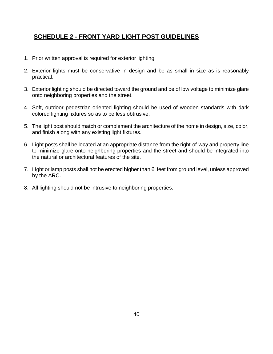# <span id="page-39-0"></span>**SCHEDULE 2 - FRONT YARD LIGHT POST GUIDELINES**

- 1. Prior written approval is required for exterior lighting.
- 2. Exterior lights must be conservative in design and be as small in size as is reasonably practical.
- 3. Exterior lighting should be directed toward the ground and be of low voltage to minimize glare onto neighboring properties and the street.
- 4. Soft, outdoor pedestrian-oriented lighting should be used of wooden standards with dark colored lighting fixtures so as to be less obtrusive.
- 5. The light post should match or complement the architecture of the home in design, size, color, and finish along with any existing light fixtures.
- 6. Light posts shall be located at an appropriate distance from the right-of-way and property line to minimize glare onto neighboring properties and the street and should be integrated into the natural or architectural features of the site.
- 7. Light or lamp posts shall not be erected higher than 6' feet from ground level, unless approved by the ARC.
- 8. All lighting should not be intrusive to neighboring properties.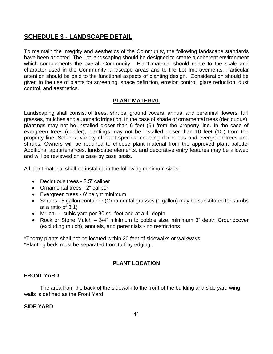# <span id="page-40-0"></span>**SCHEDULE 3 - LANDSCAPE DETAIL**

To maintain the integrity and aesthetics of the Community, the following landscape standards have been adopted. The Lot landscaping should be designed to create a coherent environment which complements the overall Community. Plant material should relate to the scale and character used in the Community landscape areas and to the Lot Improvements. Particular attention should be paid to the functional aspects of planting design. Consideration should be given to the use of plants for screening, space definition, erosion control, glare reduction, dust control, and aesthetics.

## **PLANT MATERIAL**

Landscaping shall consist of trees, shrubs, ground covers, annual and perennial flowers, turf grasses, mulches and automatic irrigation. In the case of shade or ornamental trees (deciduous), plantings may not be installed closer than 6 feet (6') from the property line. In the case of evergreen trees (conifer), plantings may not be installed closer than 10 feet (10') from the property line. Select a variety of plant species including deciduous and evergreen trees and shrubs. Owners will be required to choose plant material from the approved plant palette. Additional appurtenances, landscape elements, and decorative entry features may be allowed and will be reviewed on a case by case basis.

All plant material shall be installed in the following minimum sizes:

- Deciduous trees 2.5" caliper
- Ornamental trees 2" caliper
- Evergreen trees 6' height minimum
- Shrubs 5 gallon container (Ornamental grasses (1 gallon) may be substituted for shrubs at a ratio of 3:1)
- Mulch I cubic yard per 80 sq. feet and at a 4" depth
- Rock or Stone Mulch 3/4" minimum to cobble size, minimum 3" depth Groundcover (excluding mulch), annuals, and perennials - no restrictions

\*Thorny plants shall not be located within 20 feet of sidewalks or walkways.

\*Planting beds must be separated from turf by edging.

## **PLANT LOCATION**

## **FRONT YARD**

The area from the back of the sidewalk to the front of the building and side yard wing walls is defined as the Front Yard.

## **SIDE YARD**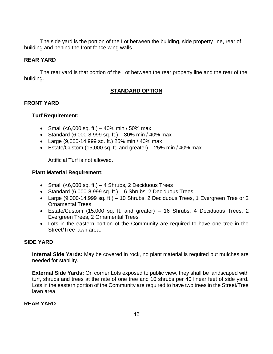The side yard is the portion of the Lot between the building, side property line, rear of building and behind the front fence wing walls.

## **REAR YARD**

The rear yard is that portion of the Lot between the rear property line and the rear of the building.

## **STANDARD OPTION**

## **FRONT YARD**

## **Turf Requirement:**

- Small  $(<,6000$  sq. ft.) 40% min / 50% max
- Standard (6,000-8,999 sq. ft.) 30% min / 40% max
- Large (9,000-14,999 sq. ft.) 25% min / 40% max
- Estate/Custom (15,000 sq. ft. and greater)  $-25%$  min / 40% max

Artificial Turf is not allowed.

## **Plant Material Requirement:**

- Small  $( $6,000$  sq. ft.) 4 Shrubs, 2 Deciduous Trees$
- Standard  $(6,000-8,999$  sq. ft.) 6 Shrubs, 2 Deciduous Trees,
- Large  $(9,000-14,999$  sq. ft.)  $-10$  Shrubs, 2 Deciduous Trees, 1 Evergreen Tree or 2 Ornamental Trees
- Estate/Custom (15,000 sq. ft. and greater) 16 Shrubs, 4 Deciduous Trees, 2 Evergreen Trees, 2 Ornamental Trees
- Lots in the eastern portion of the Community are required to have one tree in the Street/Tree lawn area.

## **SIDE YARD**

**Internal Side Yards:** May be covered in rock, no plant material is required but mulches are needed for stability.

**External Side Yards:** On corner Lots exposed to public view, they shall be landscaped with turf, shrubs and trees at the rate of one tree and 10 shrubs per 40 linear feet of side yard. Lots in the eastern portion of the Community are required to have two trees in the Street/Tree lawn area.

## **REAR YARD**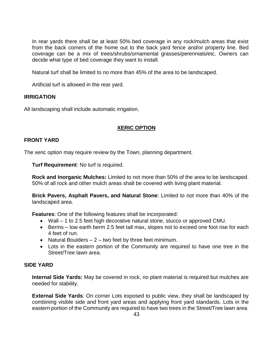In rear yards there shall be at least 50% bed coverage in any rock/mulch areas that exist from the back corners of the home out to the back yard fence and/or property line. Bed coverage can be a mix of trees/shrubs/ornamental grasses/perennials/etc. Owners can decide what type of bed coverage they want to install.

Natural turf shall be limited to no more than 45% of the area to be landscaped.

Artificial turf is allowed in the rear yard.

## **IRRIGATION**

All landscaping shall include automatic irrigation.

## **XERIC OPTION**

## **FRONT YARD**

The xeric option may require review by the Town, planning department.

**Turf Requirement**: No turf is required.

**Rock and Inorganic Mulches:** Limited to not more than 50% of the area to be landscaped. 50% of all rock and other mulch areas shall be covered with living plant material.

**Brick Pavers, Asphalt Pavers, and Natural Stone**: Limited to not more than 40% of the landscaped area.

**Features**: One of the following features shall be incorporated:

- Wall 1 to 2.5 feet high decorative natural stone, stucco or approved CMU.
- Berms low earth berm 2.5 feet tall max, slopes not to exceed one foot rise for each 4 feet of run.
- Natural Boulders  $-2$  two feet by three feet minimum.
- Lots in the eastern portion of the Community are required to have one tree in the Street/Tree lawn area.

#### **SIDE YARD**

**Internal Side Yards:** May be covered in rock, no plant material is required but mulches are needed for stability.

**External Side Yards**: On corner Lots exposed to public view, they shall be landscaped by combining visible side and front yard areas and applying front yard standards. Lots in the eastern portion of the Community are required to have two trees in the Street/Tree lawn area.